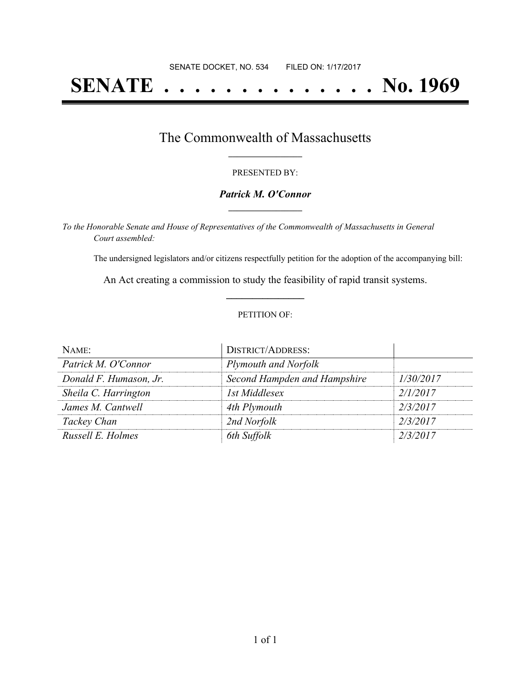# **SENATE . . . . . . . . . . . . . . No. 1969**

### The Commonwealth of Massachusetts **\_\_\_\_\_\_\_\_\_\_\_\_\_\_\_\_\_**

#### PRESENTED BY:

#### *Patrick M. O'Connor* **\_\_\_\_\_\_\_\_\_\_\_\_\_\_\_\_\_**

*To the Honorable Senate and House of Representatives of the Commonwealth of Massachusetts in General Court assembled:*

The undersigned legislators and/or citizens respectfully petition for the adoption of the accompanying bill:

An Act creating a commission to study the feasibility of rapid transit systems. **\_\_\_\_\_\_\_\_\_\_\_\_\_\_\_**

#### PETITION OF:

| NAME:                  | <b>DISTRICT/ADDRESS:</b>     |           |
|------------------------|------------------------------|-----------|
| Patrick M. O'Connor    | Plymouth and Norfolk         |           |
| Donald F. Humason, Jr. | Second Hampden and Hampshire | 1/30/2017 |
| Sheila C. Harrington   | 1st Middlesex                | 2/1/2017  |
| James M. Cantwell      | 4th Plymouth                 | 2/3/2017  |
| Tackey Chan            | 2nd Norfolk                  | 2/3/2017  |
| Russell E. Holmes      | 6th Suffolk                  | 2/3/2017  |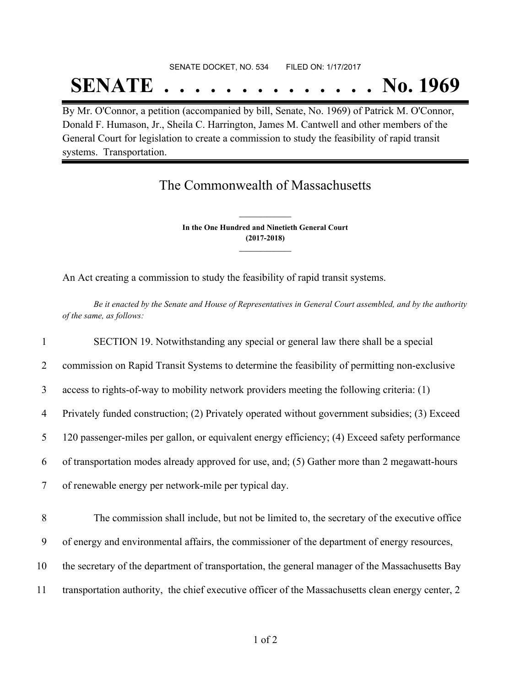## SENATE DOCKET, NO. 534 FILED ON: 1/17/2017 **SENATE . . . . . . . . . . . . . . No. 1969**

By Mr. O'Connor, a petition (accompanied by bill, Senate, No. 1969) of Patrick M. O'Connor, Donald F. Humason, Jr., Sheila C. Harrington, James M. Cantwell and other members of the General Court for legislation to create a commission to study the feasibility of rapid transit systems. Transportation.

## The Commonwealth of Massachusetts

**In the One Hundred and Ninetieth General Court (2017-2018) \_\_\_\_\_\_\_\_\_\_\_\_\_\_\_**

**\_\_\_\_\_\_\_\_\_\_\_\_\_\_\_**

An Act creating a commission to study the feasibility of rapid transit systems.

Be it enacted by the Senate and House of Representatives in General Court assembled, and by the authority *of the same, as follows:*

 SECTION 19. Notwithstanding any special or general law there shall be a special commission on Rapid Transit Systems to determine the feasibility of permitting non-exclusive access to rights-of-way to mobility network providers meeting the following criteria: (1) Privately funded construction; (2) Privately operated without government subsidies; (3) Exceed 120 passenger-miles per gallon, or equivalent energy efficiency; (4) Exceed safety performance of transportation modes already approved for use, and; (5) Gather more than 2 megawatt-hours of renewable energy per network-mile per typical day. The commission shall include, but not be limited to, the secretary of the executive office of energy and environmental affairs, the commissioner of the department of energy resources, the secretary of the department of transportation, the general manager of the Massachusetts Bay transportation authority, the chief executive officer of the Massachusetts clean energy center, 2